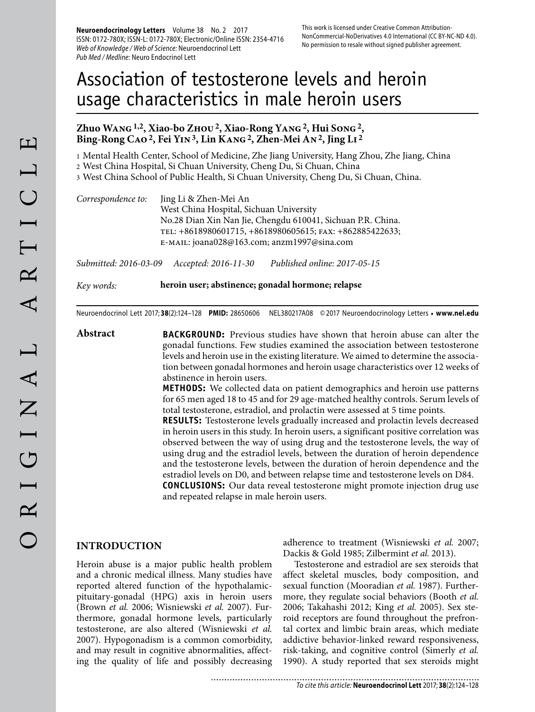**Neuroendocrinology Letters** Volume 38 No. 2 2017 ISSN: 0172-780X; ISSN-L: 0172-780X; Electronic/Online ISSN: 2354-4716 Web of Knowledge / Web of Science: Neuroendocrinol Lett Pub Med / Medline: Neuro Endocrinol Lett

# Association of testosterone levels and heroin usage characteristics in male heroin users

# **Zhuo Wang 1,2, Xiao-bo Zhou 2, Xiao-Rong Yang 2, Hui Song 2, Bing-Rong Cao 2, Fei Yin 3, Lin Kang 2, Zhen-Mei An 2, Jing Li 2**

1 Mental Health Center, School of Medicine, Zhe Jiang University, Hang Zhou, Zhe Jiang, China

2 West China Hospital, Si Chuan University, Cheng Du, Si Chuan, China

3 West China School of Public Health, Si Chuan University, Cheng Du, Si Chuan, China.

| Correspondence to: | Jing Li & Zhen-Mei An                                       |
|--------------------|-------------------------------------------------------------|
|                    | West China Hospital, Sichuan University                     |
|                    | No.28 Dian Xin Nan Jie, Chengdu 610041, Sichuan P.R. China. |
|                    | TEL: +8618980601715, +8618980605615; FAX: +862885422633;    |
|                    | E-MAIL: joana028@163.com; anzm1997@sina.com                 |

*Submitted: 2016-03-09 Accepted: 2016-11-30 Published online: 2017-05-15*

*Key words:* **heroin user; abstinence; gonadal hormone; relapse**

Neuroendocrinol Lett 2017; **38**(2):124–128 **PMID:** 28650606 NEL380217A08 © 2017 Neuroendocrinology Letters • **www.nel.edu**

**Abstract BACKGROUND:** Previous studies have shown that heroin abuse can alter the gonadal functions. Few studies examined the association between testosterone levels and heroin use in the existing literature. We aimed to determine the association between gonadal hormones and heroin usage characteristics over 12 weeks of abstinence in heroin users.

> **METHODS:** We collected data on patient demographics and heroin use patterns for 65 men aged 18 to 45 and for 29 age-matched healthy controls. Serum levels of total testosterone, estradiol, and prolactin were assessed at 5 time points.

> **RESULTS:** Testosterone levels gradually increased and prolactin levels decreased in heroin users in this study. In heroin users, a significant positive correlation was observed between the way of using drug and the testosterone levels, the way of using drug and the estradiol levels, between the duration of heroin dependence and the testosterone levels, between the duration of heroin dependence and the estradiol levels on D0, and between relapse time and testosterone levels on D84. **CONCLUSIONS:** Our data reveal testosterone might promote injection drug use and repeated relapse in male heroin users.

# **INTRODUCTION**

Heroin abuse is a major public health problem and a chronic medical illness. Many studies have reported altered function of the hypothalamicpituitary-gonadal (HPG) axis in heroin users (Brown *et al.* 2006; Wisniewski *et al.* 2007). Furthermore, gonadal hormone levels, particularly testosterone, are also altered (Wisniewski *et al.*  2007). Hypogonadism is a common comorbidity, and may result in cognitive abnormalities, affecting the quality of life and possibly decreasing adherence to treatment (Wisniewski *et al.* 2007; Dackis & Gold 1985; Zilbermint *et al.* 2013).

Testosterone and estradiol are sex steroids that affect skeletal muscles, body composition, and sexual function (Mooradian *et al.* 1987). Furthermore, they regulate social behaviors (Booth *et al.*  2006; Takahashi 2012; King *et al.* 2005). Sex steroid receptors are found throughout the prefrontal cortex and limbic brain areas, which mediate addictive behavior-linked reward responsiveness, risk-taking, and cognitive control (Simerly *et al.*  1990). A study reported that sex steroids might

............................ To cite this article: **Neuroendocrinol Lett** 2017; **38**(2):124–128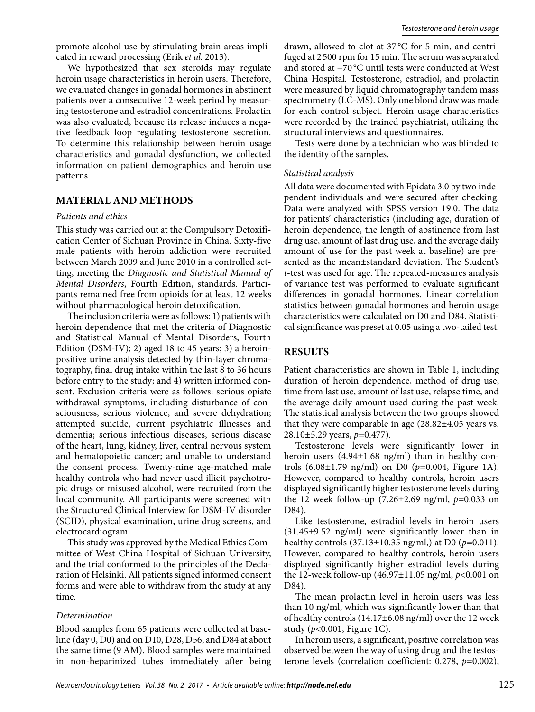promote alcohol use by stimulating brain areas implicated in reward processing (Erik *et al.* 2013).

We hypothesized that sex steroids may regulate heroin usage characteristics in heroin users. Therefore, we evaluated changes in gonadal hormones in abstinent patients over a consecutive 12-week period by measuring testosterone and estradiol concentrations. Prolactin was also evaluated, because its release induces a negative feedback loop regulating testosterone secretion. To determine this relationship between heroin usage characteristics and gonadal dysfunction, we collected information on patient demographics and heroin use patterns.

# **MATERIAL AND METHODS**

# *Patients and ethics*

This study was carried out at the Compulsory Detoxification Center of Sichuan Province in China. Sixty-five male patients with heroin addiction were recruited between March 2009 and June 2010 in a controlled setting, meeting the *Diagnostic and Statistical Manual of Mental Disorders*, Fourth Edition, standards. Participants remained free from opioids for at least 12 weeks without pharmacological heroin detoxification.

The inclusion criteria were as follows: 1) patients with heroin dependence that met the criteria of Diagnostic and Statistical Manual of Mental Disorders, Fourth Edition (DSM-IV); 2) aged 18 to 45 years; 3) a heroinpositive urine analysis detected by thin-layer chromatography, final drug intake within the last 8 to 36 hours before entry to the study; and 4) written informed consent. Exclusion criteria were as follows: serious opiate withdrawal symptoms, including disturbance of consciousness, serious violence, and severe dehydration; attempted suicide, current psychiatric illnesses and dementia; serious infectious diseases, serious disease of the heart, lung, kidney, liver, central nervous system and hematopoietic cancer; and unable to understand the consent process. Twenty-nine age-matched male healthy controls who had never used illicit psychotropic drugs or misused alcohol, were recruited from the local community. All participants were screened with the Structured Clinical Interview for DSM-IV disorder (SCID), physical examination, urine drug screens, and electrocardiogram.

This study was approved by the Medical Ethics Committee of West China Hospital of Sichuan University, and the trial conformed to the principles of the Declaration of Helsinki. All patients signed informed consent forms and were able to withdraw from the study at any time.

# *Determination*

Blood samples from 65 patients were collected at baseline (day 0, D0) and on D10, D28, D56, and D84 at about the same time (9 AM). Blood samples were maintained in non-heparinized tubes immediately after being

drawn, allowed to clot at 37 °C for 5 min, and centrifuged at 2 500 rpm for 15 min. The serum was separated and stored at −70 °C until tests were conducted at West China Hospital. Testosterone, estradiol, and prolactin were measured by liquid chromatography tandem mass spectrometry (LC-MS). Only one blood draw was made for each control subject. Heroin usage characteristics were recorded by the trained psychiatrist, utilizing the structural interviews and questionnaires.

Tests were done by a technician who was blinded to the identity of the samples.

# *Statistical analysis*

All data were documented with Epidata 3.0 by two independent individuals and were secured after checking. Data were analyzed with SPSS version 19.0. The data for patients' characteristics (including age, duration of heroin dependence, the length of abstinence from last drug use, amount of last drug use, and the average daily amount of use for the past week at baseline) are presented as the mean±standard deviation. The Student's *t*-test was used for age. The repeated-measures analysis of variance test was performed to evaluate significant differences in gonadal hormones. Linear correlation statistics between gonadal hormones and heroin usage characteristics were calculated on D0 and D84. Statistical significance was preset at 0.05 using a two-tailed test.

# **RESULTS**

Patient characteristics are shown in Table 1, including duration of heroin dependence, method of drug use, time from last use, amount of last use, relapse time, and the average daily amount used during the past week. The statistical analysis between the two groups showed that they were comparable in age (28.82±4.05 years vs. 28.10±5.29 years, *p=*0.477).

Testosterone levels were significantly lower in heroin users  $(4.94\pm1.68 \text{ ng/ml})$  than in healthy controls (6.08±1.79 ng/ml) on D0 (*p=*0.004, Figure 1A). However, compared to healthy controls, heroin users displayed significantly higher testosterone levels during the 12 week follow-up (7.26±2.69 ng/ml, *p=*0.033 on D84).

Like testosterone, estradiol levels in heroin users (31.45±9.52 ng/ml) were significantly lower than in healthy controls (37.13±10.35 ng/ml,) at D0 (*p=*0.011). However, compared to healthy controls, heroin users displayed significantly higher estradiol levels during the 12-week follow -up (46.97±11.05 ng/ml, *p*<0.001 on D84).

The mean prolactin level in heroin users was less than 10 ng/ml, which was significantly lower than that of healthy controls (14.17±6.08 ng/ml) over the 12 week study (*p*<0.001, Figure 1C).

In heroin users, a significant, positive correlation was observed between the way of using drug and the testosterone levels (correlation coefficient: 0.278, *p*=0.002),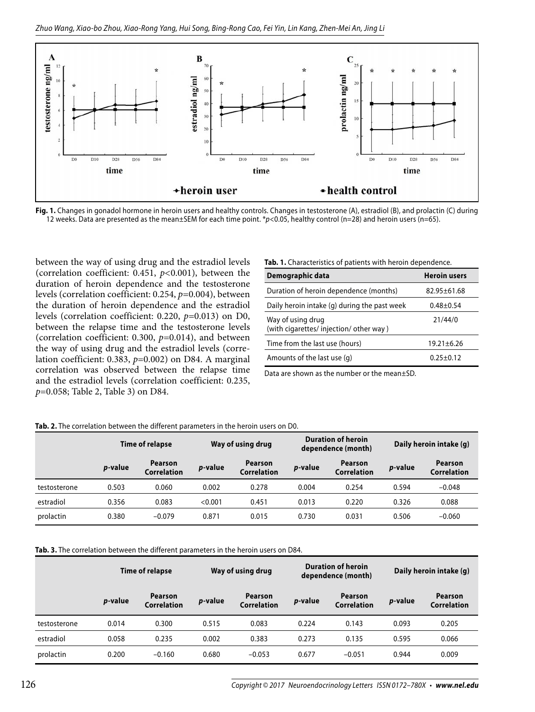



between the way of using drug and the estradiol levels (correlation coefficient: 0.451, *p<*0.001), between the duration of heroin dependence and the testosterone levels (correlation coefficient: 0.254,  $p=0.004$ ), between the duration of heroin dependence and the estradiol levels (correlation coefficient: 0.220, *p=*0.013) on D0, between the relapse time and the testosterone levels (correlation coefficient: 0.300, *p=*0.014), and between the way of using drug and the estradiol levels (correlation coefficient: 0.383, *p*=0.002) on D84. A marginal correlation was observed between the relapse time and the estradiol levels (correlation coefficient: 0.235, *p*=0.058; Table 2, Table 3) on D84.

|  |  |  |  |  |  |  |  | Tab. 1. Characteristics of patients with heroin dependence. |  |
|--|--|--|--|--|--|--|--|-------------------------------------------------------------|--|
|--|--|--|--|--|--|--|--|-------------------------------------------------------------|--|

| Demographic data                                           | <b>Heroin users</b> |
|------------------------------------------------------------|---------------------|
| Duration of heroin dependence (months)                     | $82.95 \pm 61.68$   |
| Daily heroin intake (q) during the past week               | $0.48 + 0.54$       |
| Way of using drug<br>(with cigarettes/injection/other way) | 21/44/0             |
| Time from the last use (hours)                             | $19.21 \pm 6.26$    |
| Amounts of the last use (q)                                | $0.25 + 0.12$       |

Data are shown as the number or the mean±SD.

#### **Tab. 2.** The correlation between the different parameters in the heroin users on D0.

|              | Time of relapse |                               | Way of using drug |                               | <b>Duration of heroin</b><br>dependence (month) |                                      | Daily heroin intake (q) |                               |
|--------------|-----------------|-------------------------------|-------------------|-------------------------------|-------------------------------------------------|--------------------------------------|-------------------------|-------------------------------|
|              | <i>p</i> -value | <b>Pearson</b><br>Correlation | <i>p</i> -value   | <b>Pearson</b><br>Correlation | <i>p</i> -value                                 | <b>Pearson</b><br><b>Correlation</b> | <i>p</i> -value         | Pearson<br><b>Correlation</b> |
| testosterone | 0.503           | 0.060                         | 0.002             | 0.278                         | 0.004                                           | 0.254                                | 0.594                   | $-0.048$                      |
| estradiol    | 0.356           | 0.083                         | < 0.001           | 0.451                         | 0.013                                           | 0.220                                | 0.326                   | 0.088                         |
| prolactin    | 0.380           | $-0.079$                      | 0.871             | 0.015                         | 0.730                                           | 0.031                                | 0.506                   | $-0.060$                      |

### **Tab. 3.** The correlation between the different parameters in the heroin users on D84.

|              | Time of relapse |                               | Way of using drug |                               | <b>Duration of heroin</b><br>dependence (month) |                               | Daily heroin intake (g) |                               |
|--------------|-----------------|-------------------------------|-------------------|-------------------------------|-------------------------------------------------|-------------------------------|-------------------------|-------------------------------|
|              | <i>p</i> -value | <b>Pearson</b><br>Correlation | <i>p</i> -value   | <b>Pearson</b><br>Correlation | <i>p</i> -value                                 | <b>Pearson</b><br>Correlation | <i>p</i> -value         | <b>Pearson</b><br>Correlation |
| testosterone | 0.014           | 0.300                         | 0.515             | 0.083                         | 0.224                                           | 0.143                         | 0.093                   | 0.205                         |
| estradiol    | 0.058           | 0.235                         | 0.002             | 0.383                         | 0.273                                           | 0.135                         | 0.595                   | 0.066                         |
| prolactin    | 0.200           | $-0.160$                      | 0.680             | $-0.053$                      | 0.677                                           | $-0.051$                      | 0.944                   | 0.009                         |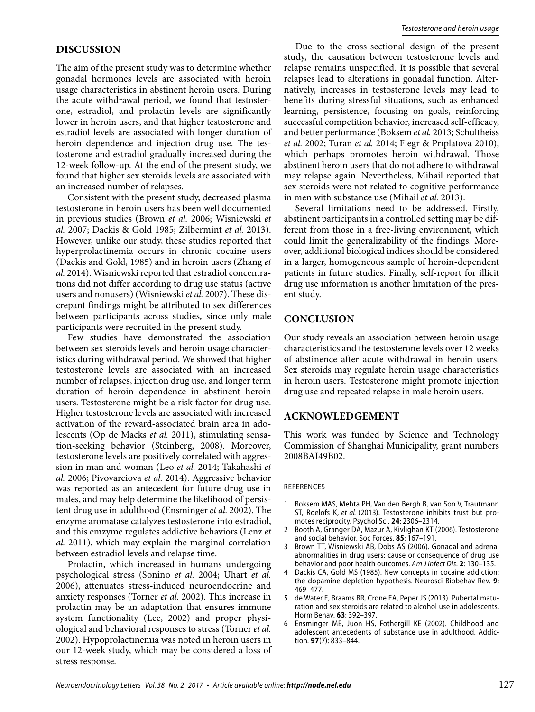## **DISCUSSION**

The aim of the present study was to determine whether gonadal hormones levels are associated with heroin usage characteristics in abstinent heroin users. During the acute withdrawal period, we found that testosterone, estradiol, and prolactin levels are significantly lower in heroin users, and that higher testosterone and estradiol levels are associated with longer duration of heroin dependence and injection drug use. The testosterone and estradiol gradually increased during the 12-week follow-up. At the end of the present study, we found that higher sex steroids levels are associated with an increased number of relapses.

Consistent with the present study, decreased plasma testosterone in heroin users has been well documented in previous studies (Brown *et al.* 2006; Wisniewski *et al.* 2007; Dackis & Gold 1985; Zilbermint *et al.* 2013). However, unlike our study, these studies reported that hyperprolactinemia occurs in chronic cocaine users (Dackis and Gold, 1985) and in heroin users (Zhang *et al.* 2014). Wisniewski reported that estradiol concentrations did not differ according to drug use status (active users and nonusers) (Wisniewski *et al.* 2007). These discrepant findings might be attributed to sex differences between participants across studies, since only male participants were recruited in the present study.

Few studies have demonstrated the association between sex steroids levels and heroin usage characteristics during withdrawal period. We showed that higher testosterone levels are associated with an increased number of relapses, injection drug use, and longer term duration of heroin dependence in abstinent heroin users. Testosterone might be a risk factor for drug use. Higher testosterone levels are associated with increased activation of the reward-associated brain area in adolescents (Op de Macks *et al.* 2011), stimulating sensation-seeking behavior (Steinberg, 2008). Moreover, testosterone levels are positively correlated with aggression in man and woman (Leo *et al.* 2014; Takahashi *et al.* 2006; Pivovarciova *et al.* 2014). Aggressive behavior was reported as an antecedent for future drug use in males, and may help determine the likelihood of persistent drug use in adulthood (Ensminger *et al.* 2002). The enzyme aromatase catalyzes testosterone into estradiol, and this emzyme regulates addictive behaviors (Lenz *et al.* 2011), which may explain the marginal correlation between estradiol levels and relapse time.

Prolactin, which increased in humans undergoing psychological stress (Sonino *et al.* 2004; Uhart *et al.*  2006), attenuates stress-induced neuroendocrine and anxiety responses (Torner *et al.* 2002). This increase in prolactin may be an adaptation that ensures immune system functionality (Lee, 2002) and proper physiological and behavioral responses to stress (Torner *et al.*  2002). Hypoprolactinemia was noted in heroin users in our 12-week study, which may be considered a loss of stress response.

Due to the cross-sectional design of the present study, the causation between testosterone levels and relapse remains unspecified. It is possible that several relapses lead to alterations in gonadal function. Alternatively, increases in testosterone levels may lead to benefits during stressful situations, such as enhanced learning, persistence, focusing on goals, reinforcing successful competition behavior, increased self-efficacy, and better performance (Boksem *et al.* 2013; Schultheiss *et al.* 2002; Turan *et al.* 2014; Flegr & Príplatová 2010), which perhaps promotes heroin withdrawal. Those abstinent heroin users that do not adhere to withdrawal may relapse again. Nevertheless, Mihail reported that sex steroids were not related to cognitive performance in men with substance use (Mihail *et al.* 2013).

Several limitations need to be addressed. Firstly, abstinent participants in a controlled setting may be different from those in a free-living environment, which could limit the generalizability of the findings. Moreover, additional biological indices should be considered in a larger, homogeneous sample of heroin-dependent patients in future studies. Finally, self-report for illicit drug use information is another limitation of the present study.

## **CONCLUSION**

Our study reveals an association between heroin usage characteristics and the testosterone levels over 12 weeks of abstinence after acute withdrawal in heroin users. Sex steroids may regulate heroin usage characteristics in heroin users. Testosterone might promote injection drug use and repeated relapse in male heroin users.

## **ACKNOWLEDGEMENT**

This work was funded by Science and Technology Commission of Shanghai Municipality, grant numbers 2008BAI49B02.

#### REFERENCES

- 1 Boksem MAS, Mehta PH, Van den Bergh B, van Son V, Trautmann ST, Roelofs K, et al. (2013). Testosterone inhibits trust but promotes reciprocity. Psychol Sci. **24**: 2306–2314.
- 2 Booth A, Granger DA, Mazur A, Kivlighan KT (2006). Testosterone and social behavior. Soc Forces. **85**: 167–191.
- 3 Brown TT, Wisniewski AB, Dobs AS (2006). Gonadal and adrenal abnormalities in drug users: cause or consequence of drug use behavior and poor health outcomes. Am J Infect Dis. **2**: 130–135.
- 4 Dackis CA, Gold MS (1985). New concepts in cocaine addiction: the dopamine depletion hypothesis. Neurosci Biobehav Rev. 9: 469–477.
- 5 de Water E, Braams BR, Crone EA, Peper JS (2013). Puber tal maturation and sex steroids are related to alcohol use in adolescents. Horm Behav. **63**: 392–397.
- 6 Ensminger ME, Juon HS, Fothergill KE (2002). Childhood and adolescent antecedents of substance use in adulthood. Addiction. **97**(7): 833–844.